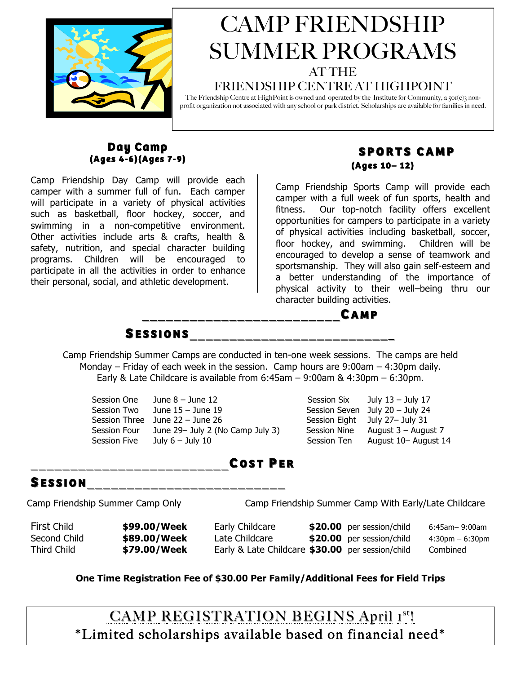

# CAMP FRIENDSHIP SUMMER PROGRAMS

### AT THE

#### FRIENDSHIP CENTRE AT HIGHPOINT

The Friendship Centre at HighPoint is owned and operated by the Institute for Community, a 501(c)3 nonprofit organization not associated with any school or park district. Scholarships are available for families in need.

# **Day Camp (Ages 4-6)(Ages 7-9)**

Camp Friendship Day Camp will provide each camper with a summer full of fun. Each camper will participate in a variety of physical activities such as basketball, floor hockey, soccer, and swimming in a non-competitive environment. Other activities include arts & crafts, health & safety, nutrition, and special character building programs. Children will be encouraged to participate in all the activities in order to enhance their personal, social, and athletic development.

## **SPORTS CAMP SPORTS CAMP (Ages 10– 12)**

Camp Friendship Sports Camp will provide each camper with a full week of fun sports, health and fitness. Our top-notch facility offers excellent opportunities for campers to participate in a variety of physical activities including basketball, soccer, floor hockey, and swimming. Children will be encouraged to develop a sense of teamwork and sportsmanship. They will also gain self-esteem and a better understanding of the importance of physical activity to their well–being thru our character building activities.



 $S$  **ESSIONS** 

Camp Friendship Summer Camps are conducted in ten-one week sessions. The camps are held Monday – Friday of each week in the session. Camp hours are 9:00am – 4:30pm daily. Early & Late Childcare is available from 6:45am – 9:00am & 4:30pm – 6:30pm.

Session One June 8 – June 12 Session Six July 13 – July 17

Session Two June 15 – June 19 Session Seven July 20 – July 24 Session Three June 22 – June 26 Session Eight July 27– July 31 Session Four June 29– July 2 (No Camp July 3) Session Nine August 3 – August 7 Session Five Duly 6 – July 10 Session Ten August 10– August 14

# \_\_\_\_\_\_\_\_\_\_\_\_\_\_\_\_\_\_\_\_\_\_\_\_\_ \_\_\_\_\_\_\_\_\_\_\_\_\_\_\_\_\_\_\_\_\_\_\_\_\_**C OST P ER**

## **S ESSION**\_\_\_\_\_\_\_\_\_\_\_\_\_\_\_\_\_\_\_\_\_\_\_\_\_ \_\_\_\_\_\_\_\_\_\_\_\_\_\_\_\_\_\_\_\_\_\_\_\_\_

Camp Friendship Summer Camp Only Camp Friendship Summer Camp With Early/Late Childcare

First Child **\$99.00/Week** Early Childcare **\$20.00** per session/child 6:45am– 9:00am Second Child **\$89.00/Week** Late Childcare **\$20.00** per session/child 4:30pm – 6:30pm Third Child **\$79.00/Week** Early & Late Childcare **\$30.00** per session/child Combined

#### **One Time Registration Fee of \$30.00 Per Family/Additional Fees for Field Trips**

CAMP REGISTRATION BEGINS April 1st! \*Limited scholarships available based on financial need\*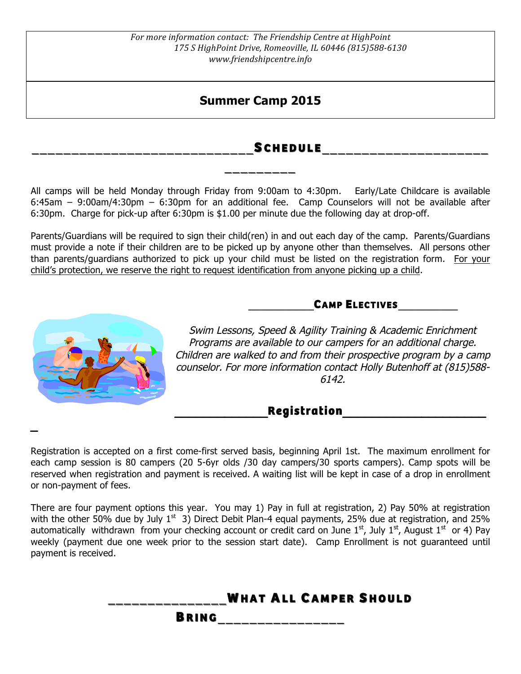## **Summer Camp 2015**

### **\_\_\_\_\_\_\_\_\_\_\_\_\_\_\_\_\_\_\_\_\_\_\_\_\_\_\_\_ \_\_\_\_\_\_\_\_\_\_\_\_\_\_\_\_\_\_\_\_\_\_\_\_\_\_\_\_S CHEDULE CHEDULE\_\_\_\_\_\_\_\_\_\_\_\_\_\_\_\_\_\_\_\_\_ \_\_\_\_\_\_\_\_\_\_\_\_\_\_\_\_\_\_\_\_\_**

All camps will be held Monday through Friday from 9:00am to 4:30pm. Early/Late Childcare is available 6:45am – 9:00am/4:30pm – 6:30pm for an additional fee. Camp Counselors will not be available after 6:30pm. Charge for pick-up after 6:30pm is \$1.00 per minute due the following day at drop-off.

**\_\_\_\_\_\_\_\_\_ \_\_\_\_\_\_\_\_\_**

Parents/Guardians will be required to sign their child(ren) in and out each day of the camp. Parents/Guardians must provide a note if their children are to be picked up by anyone other than themselves. All persons other than parents/guardians authorized to pick up your child must be listed on the registration form. For your child's protection, we reserve the right to request identification from anyone picking up a child.

### **\_\_\_\_\_\_\_\_\_\_\_CAMP ELECTIVES\_\_\_\_\_\_\_\_\_\_**



**\_**

Swim Lessons, Speed & Agility Training & Academic Enrichment Programs are available to our campers for an additional charge. Children are walked to and from their prospective program by a camp counselor. For more information contact Holly Butenhoff at (815)588- 6142.

## **\_\_\_\_\_\_\_\_\_\_\_\_\_Registration\_\_\_\_\_\_\_\_\_\_\_\_\_\_\_\_\_\_\_\_**

Registration is accepted on a first come-first served basis, beginning April 1st. The maximum enrollment for each camp session is 80 campers (20 5-6yr olds /30 day campers/30 sports campers). Camp spots will be reserved when registration and payment is received. A waiting list will be kept in case of a drop in enrollment or non-payment of fees.

There are four payment options this year. You may 1) Pay in full at registration, 2) Pay 50% at registration with the other 50% due by July  $1<sup>st</sup>$  3) Direct Debit Plan-4 equal payments, 25% due at registration, and 25% automatically withdrawn from your checking account or credit card on June  $1<sup>st</sup>$ , July  $1<sup>st</sup>$ , August  $1<sup>st</sup>$  or 4) Pay weekly (payment due one week prior to the session start date). Camp Enrollment is not guaranteed until payment is received.

|              |  | <b>WHAT ALL CAMPER SHOULD</b> |  |
|--------------|--|-------------------------------|--|
| <b>BRING</b> |  |                               |  |